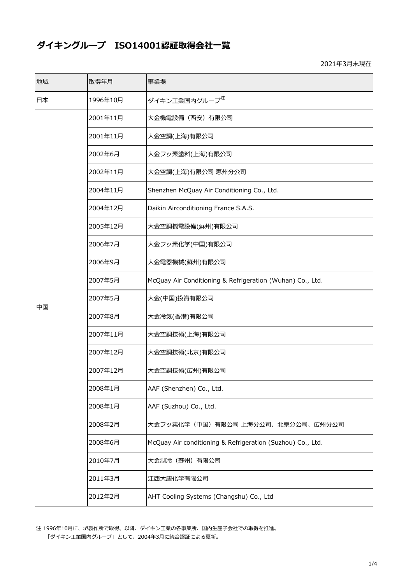## **ダイキングループ ISO14001認証取得会社⼀覧**

2021年3⽉末現在

| 地域 | 取得年月     | 事業場                                                        |
|----|----------|------------------------------------------------------------|
| 日本 | 1996年10月 | ダイキン工業国内グループ <sup>注</sup>                                  |
|    | 2001年11月 | 大金機電設備(西安)有限公司                                             |
|    | 2001年11月 | 大金空調(上海)有限公司                                               |
|    | 2002年6月  | 大金フッ素塗料(上海)有限公司                                            |
|    | 2002年11月 | 大金空調(上海)有限公司 恵州分公司                                         |
|    | 2004年11月 | Shenzhen McQuay Air Conditioning Co., Ltd.                 |
|    | 2004年12月 | Daikin Airconditioning France S.A.S.                       |
|    | 2005年12月 | 大金空調機電設備(蘇州)有限公司                                           |
|    | 2006年7月  | 大金フッ素化学(中国)有限公司                                            |
|    | 2006年9月  | 大金電器機械(蘇州)有限公司                                             |
|    | 2007年5月  | McQuay Air Conditioning & Refrigeration (Wuhan) Co., Ltd.  |
| 中国 | 2007年5月  | 大金(中国)投資有限公司                                               |
|    | 2007年8月  | 大金冷気(香港)有限公司                                               |
|    | 2007年11月 | 大金空調技術(上海)有限公司                                             |
|    | 2007年12月 | 大金空調技術(北京)有限公司                                             |
|    | 2007年12月 | 大金空調技術(広州)有限公司                                             |
|    | 2008年1月  | AAF (Shenzhen) Co., Ltd.                                   |
|    | 2008年1月  | AAF (Suzhou) Co., Ltd.                                     |
|    | 2008年2月  | 大金フッ素化学(中国)有限公司 上海分公司、北京分公司、広州分公司                          |
|    | 2008年6月  | McQuay Air conditioning & Refrigeration (Suzhou) Co., Ltd. |
|    | 2010年7月  | 大金制冷(蘇州)有限公司                                               |
|    | 2011年3月  | 江西大唐化学有限公司                                                 |
|    | 2012年2月  | AHT Cooling Systems (Changshu) Co., Ltd                    |

注 1996年10月に、堺製作所で取得。以降、ダイキン工業の各事業所、国内生産子会社での取得を推進。 「ダイキン⼯業国内グループ」として、2004年3⽉に統合認証による更新。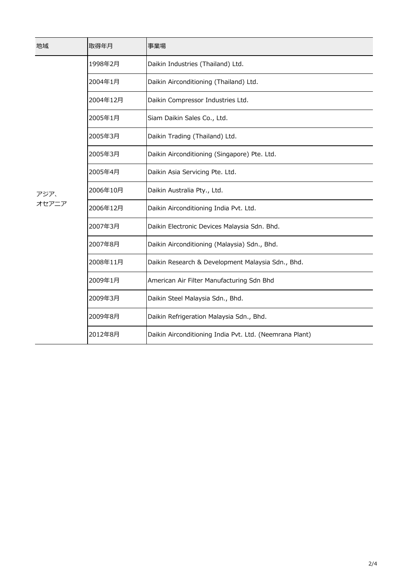| 地域            | 取得年月     | 事業場                                                     |
|---------------|----------|---------------------------------------------------------|
| アジア、<br>オセアニア | 1998年2月  | Daikin Industries (Thailand) Ltd.                       |
|               | 2004年1月  | Daikin Airconditioning (Thailand) Ltd.                  |
|               | 2004年12月 | Daikin Compressor Industries Ltd.                       |
|               | 2005年1月  | Siam Daikin Sales Co., Ltd.                             |
|               | 2005年3月  | Daikin Trading (Thailand) Ltd.                          |
|               | 2005年3月  | Daikin Airconditioning (Singapore) Pte. Ltd.            |
|               | 2005年4月  | Daikin Asia Servicing Pte. Ltd.                         |
|               | 2006年10月 | Daikin Australia Pty., Ltd.                             |
|               | 2006年12月 | Daikin Airconditioning India Pvt. Ltd.                  |
|               | 2007年3月  | Daikin Electronic Devices Malaysia Sdn. Bhd.            |
|               | 2007年8月  | Daikin Airconditioning (Malaysia) Sdn., Bhd.            |
|               | 2008年11月 | Daikin Research & Development Malaysia Sdn., Bhd.       |
|               | 2009年1月  | American Air Filter Manufacturing Sdn Bhd               |
|               | 2009年3月  | Daikin Steel Malaysia Sdn., Bhd.                        |
|               | 2009年8月  | Daikin Refrigeration Malaysia Sdn., Bhd.                |
|               | 2012年8月  | Daikin Airconditioning India Pvt. Ltd. (Neemrana Plant) |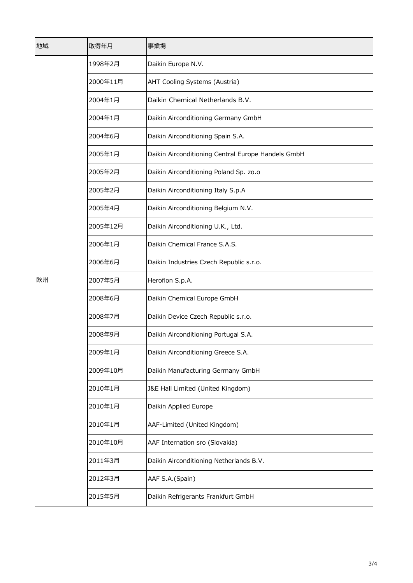| 地域 | 取得年月     | 事業場                                                |
|----|----------|----------------------------------------------------|
| 欧州 | 1998年2月  | Daikin Europe N.V.                                 |
|    | 2000年11月 | AHT Cooling Systems (Austria)                      |
|    | 2004年1月  | Daikin Chemical Netherlands B.V.                   |
|    | 2004年1月  | Daikin Airconditioning Germany GmbH                |
|    | 2004年6月  | Daikin Airconditioning Spain S.A.                  |
|    | 2005年1月  | Daikin Airconditioning Central Europe Handels GmbH |
|    | 2005年2月  | Daikin Airconditioning Poland Sp. zo.o             |
|    | 2005年2月  | Daikin Airconditioning Italy S.p.A                 |
|    | 2005年4月  | Daikin Airconditioning Belgium N.V.                |
|    | 2005年12月 | Daikin Airconditioning U.K., Ltd.                  |
|    | 2006年1月  | Daikin Chemical France S.A.S.                      |
|    | 2006年6月  | Daikin Industries Czech Republic s.r.o.            |
|    | 2007年5月  | Heroflon S.p.A.                                    |
|    | 2008年6月  | Daikin Chemical Europe GmbH                        |
|    | 2008年7月  | Daikin Device Czech Republic s.r.o.                |
|    | 2008年9月  | Daikin Airconditioning Portugal S.A.               |
|    | 2009年1月  | Daikin Airconditioning Greece S.A.                 |
|    | 2009年10月 | Daikin Manufacturing Germany GmbH                  |
|    | 2010年1月  | J&E Hall Limited (United Kingdom)                  |
|    | 2010年1月  | Daikin Applied Europe                              |
|    | 2010年1月  | AAF-Limited (United Kingdom)                       |
|    | 2010年10月 | AAF Internation sro (Slovakia)                     |
|    | 2011年3月  | Daikin Airconditioning Netherlands B.V.            |
|    | 2012年3月  | AAF S.A.(Spain)                                    |
|    | 2015年5月  | Daikin Refrigerants Frankfurt GmbH                 |